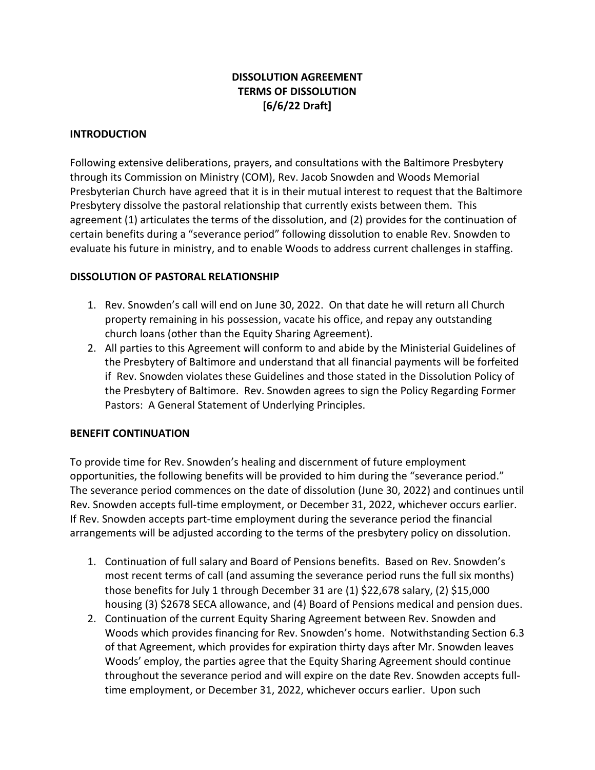# **DISSOLUTION AGREEMENT TERMS OF DISSOLUTION [6/6/22 Draft]**

# **INTRODUCTION**

Following extensive deliberations, prayers, and consultations with the Baltimore Presbytery through its Commission on Ministry (COM), Rev. Jacob Snowden and Woods Memorial Presbyterian Church have agreed that it is in their mutual interest to request that the Baltimore Presbytery dissolve the pastoral relationship that currently exists between them. This agreement (1) articulates the terms of the dissolution, and (2) provides for the continuation of certain benefits during a "severance period" following dissolution to enable Rev. Snowden to evaluate his future in ministry, and to enable Woods to address current challenges in staffing.

# **DISSOLUTION OF PASTORAL RELATIONSHIP**

- 1. Rev. Snowden's call will end on June 30, 2022. On that date he will return all Church property remaining in his possession, vacate his office, and repay any outstanding church loans (other than the Equity Sharing Agreement).
- 2. All parties to this Agreement will conform to and abide by the Ministerial Guidelines of the Presbytery of Baltimore and understand that all financial payments will be forfeited if Rev. Snowden violates these Guidelines and those stated in the Dissolution Policy of the Presbytery of Baltimore. Rev. Snowden agrees to sign the Policy Regarding Former Pastors: A General Statement of Underlying Principles.

# **BENEFIT CONTINUATION**

To provide time for Rev. Snowden's healing and discernment of future employment opportunities, the following benefits will be provided to him during the "severance period." The severance period commences on the date of dissolution (June 30, 2022) and continues until Rev. Snowden accepts full-time employment, or December 31, 2022, whichever occurs earlier. If Rev. Snowden accepts part-time employment during the severance period the financial arrangements will be adjusted according to the terms of the presbytery policy on dissolution.

- 1. Continuation of full salary and Board of Pensions benefits. Based on Rev. Snowden's most recent terms of call (and assuming the severance period runs the full six months) those benefits for July 1 through December 31 are (1) \$22,678 salary, (2) \$15,000 housing (3) \$2678 SECA allowance, and (4) Board of Pensions medical and pension dues.
- 2. Continuation of the current Equity Sharing Agreement between Rev. Snowden and Woods which provides financing for Rev. Snowden's home. Notwithstanding Section 6.3 of that Agreement, which provides for expiration thirty days after Mr. Snowden leaves Woods' employ, the parties agree that the Equity Sharing Agreement should continue throughout the severance period and will expire on the date Rev. Snowden accepts fulltime employment, or December 31, 2022, whichever occurs earlier. Upon such